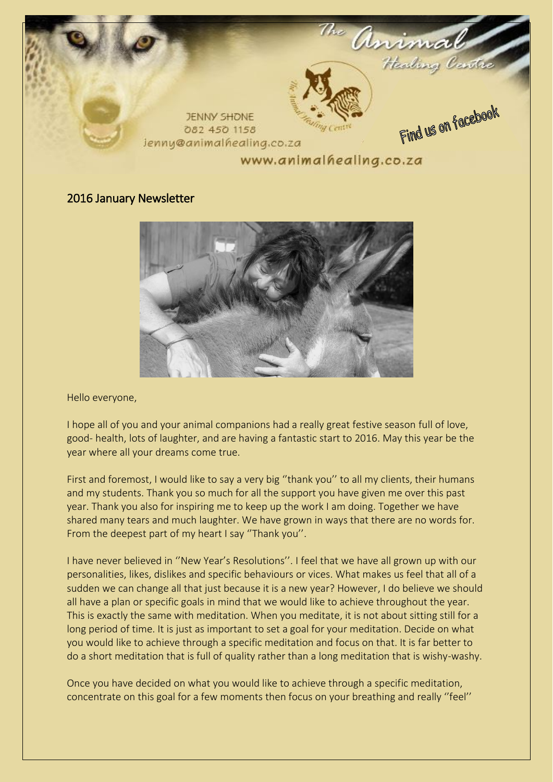

## 2016 January Newsletter



Hello everyone,

I hope all of you and your animal companions had a really great festive season full of love, good- health, lots of laughter, and are having a fantastic start to 2016. May this year be the year where all your dreams come true.

First and foremost, I would like to say a very big "thank you" to all my clients, their humans and my students. Thank you so much for all the support you have given me over this past year. Thank you also for inspiring me to keep up the work I am doing. Together we have shared many tears and much laughter. We have grown in ways that there are no words for. From the deepest part of my heart I say ''Thank you''.

I have never believed in ''New Year's Resolutions''. I feel that we have all grown up with our personalities, likes, dislikes and specific behaviours or vices. What makes us feel that all of a sudden we can change all that just because it is a new year? However, I do believe we should all have a plan or specific goals in mind that we would like to achieve throughout the year. This is exactly the same with meditation. When you meditate, it is not about sitting still for a long period of time. It is just as important to set a goal for your meditation. Decide on what you would like to achieve through a specific meditation and focus on that. It is far better to do a short meditation that is full of quality rather than a long meditation that is wishy-washy.

Once you have decided on what you would like to achieve through a specific meditation, concentrate on this goal for a few moments then focus on your breathing and really ''feel''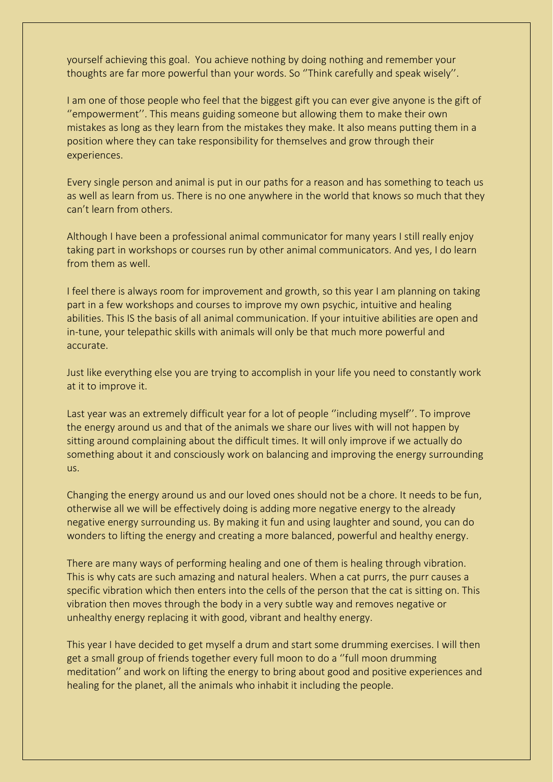yourself achieving this goal. You achieve nothing by doing nothing and remember your thoughts are far more powerful than your words. So ''Think carefully and speak wisely''.

I am one of those people who feel that the biggest gift you can ever give anyone is the gift of ''empowerment''. This means guiding someone but allowing them to make their own mistakes as long as they learn from the mistakes they make. It also means putting them in a position where they can take responsibility for themselves and grow through their experiences.

Every single person and animal is put in our paths for a reason and has something to teach us as well as learn from us. There is no one anywhere in the world that knows so much that they can't learn from others.

Although I have been a professional animal communicator for many years I still really enjoy taking part in workshops or courses run by other animal communicators. And yes, I do learn from them as well

I feel there is always room for improvement and growth, so this year I am planning on taking part in a few workshops and courses to improve my own psychic, intuitive and healing abilities. This IS the basis of all animal communication. If your intuitive abilities are open and in-tune, your telepathic skills with animals will only be that much more powerful and accurate.

Just like everything else you are trying to accomplish in your life you need to constantly work at it to improve it.

Last year was an extremely difficult year for a lot of people ''including myself''. To improve the energy around us and that of the animals we share our lives with will not happen by sitting around complaining about the difficult times. It will only improve if we actually do something about it and consciously work on balancing and improving the energy surrounding us.

Changing the energy around us and our loved ones should not be a chore. It needs to be fun, otherwise all we will be effectively doing is adding more negative energy to the already negative energy surrounding us. By making it fun and using laughter and sound, you can do wonders to lifting the energy and creating a more balanced, powerful and healthy energy.

There are many ways of performing healing and one of them is healing through vibration. This is why cats are such amazing and natural healers. When a cat purrs, the purr causes a specific vibration which then enters into the cells of the person that the cat is sitting on. This vibration then moves through the body in a very subtle way and removes negative or unhealthy energy replacing it with good, vibrant and healthy energy.

This year I have decided to get myself a drum and start some drumming exercises. I will then get a small group of friends together every full moon to do a ''full moon drumming meditation'' and work on lifting the energy to bring about good and positive experiences and healing for the planet, all the animals who inhabit it including the people.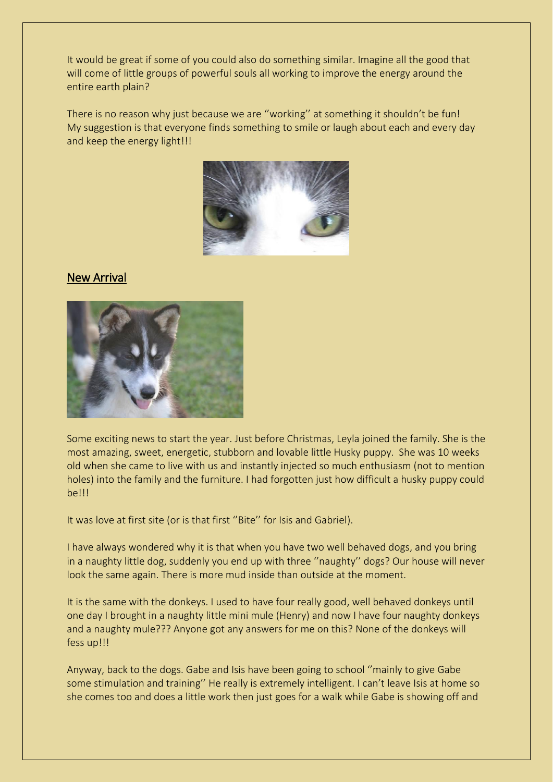It would be great if some of you could also do something similar. Imagine all the good that will come of little groups of powerful souls all working to improve the energy around the entire earth plain?

There is no reason why just because we are ''working'' at something it shouldn't be fun! My suggestion is that everyone finds something to smile or laugh about each and every day and keep the energy light!!!



## New Arrival



Some exciting news to start the year. Just before Christmas, Leyla joined the family. She is the most amazing, sweet, energetic, stubborn and lovable little Husky puppy. She was 10 weeks old when she came to live with us and instantly injected so much enthusiasm (not to mention holes) into the family and the furniture. I had forgotten just how difficult a husky puppy could be!!!

It was love at first site (or is that first ''Bite'' for Isis and Gabriel).

I have always wondered why it is that when you have two well behaved dogs, and you bring in a naughty little dog, suddenly you end up with three ''naughty'' dogs? Our house will never look the same again. There is more mud inside than outside at the moment.

It is the same with the donkeys. I used to have four really good, well behaved donkeys until one day I brought in a naughty little mini mule (Henry) and now I have four naughty donkeys and a naughty mule??? Anyone got any answers for me on this? None of the donkeys will fess up!!!

Anyway, back to the dogs. Gabe and Isis have been going to school ''mainly to give Gabe some stimulation and training'' He really is extremely intelligent. I can't leave Isis at home so she comes too and does a little work then just goes for a walk while Gabe is showing off and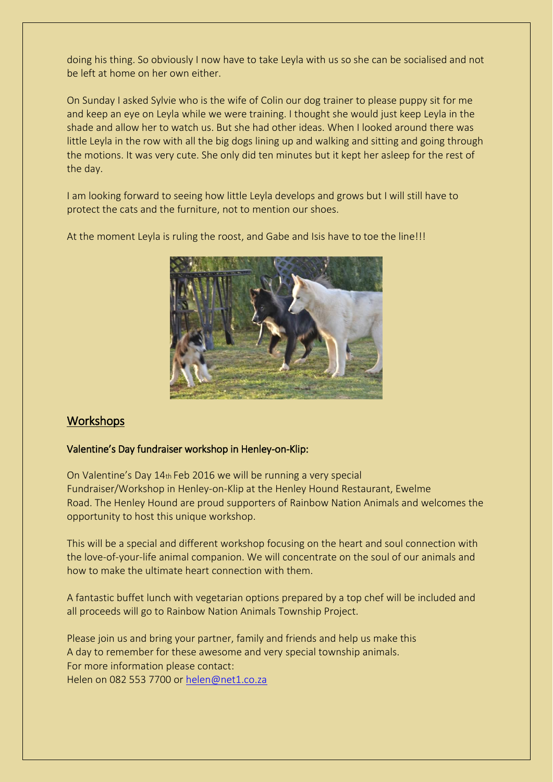doing his thing. So obviously I now have to take Leyla with us so she can be socialised and not be left at home on her own either.

On Sunday I asked Sylvie who is the wife of Colin our dog trainer to please puppy sit for me and keep an eye on Leyla while we were training. I thought she would just keep Leyla in the shade and allow her to watch us. But she had other ideas. When I looked around there was little Leyla in the row with all the big dogs lining up and walking and sitting and going through the motions. It was very cute. She only did ten minutes but it kept her asleep for the rest of the day.

I am looking forward to seeing how little Leyla develops and grows but I will still have to protect the cats and the furniture, not to mention our shoes.

At the moment Leyla is ruling the roost, and Gabe and Isis have to toe the line!!!



# **Workshops**

### Valentine's Day fundraiser workshop in Henley-on-Klip:

On Valentine's Day 14th Feb 2016 we will be running a very special Fundraiser/Workshop in Henley-on-Klip at the Henley Hound Restaurant, Ewelme Road. The Henley Hound are proud supporters of Rainbow Nation Animals and welcomes the opportunity to host this unique workshop.

This will be a special and different workshop focusing on the heart and soul connection with the love-of-your-life animal companion. We will concentrate on the soul of our animals and how to make the ultimate heart connection with them.

A fantastic buffet lunch with vegetarian options prepared by a top chef will be included and all proceeds will go to Rainbow Nation Animals Township Project.

Please join us and bring your partner, family and friends and help us make this A day to remember for these awesome and very special township animals. For more information please contact: Helen on 082 553 7700 or [helen@net1.co.za](mailto:helen@net1.co.za)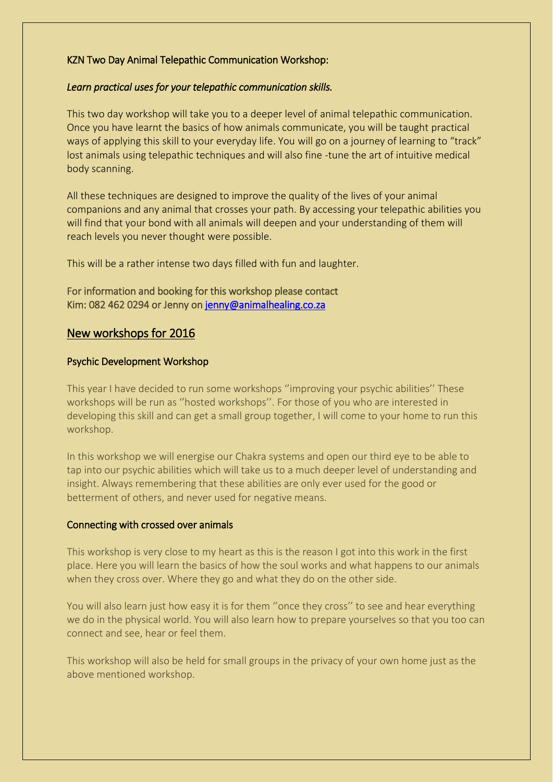## KZN Two Day Animal Telepathic Communication Workshop:

### *Learn practical uses for your telepathic communication skills.*

This two day workshop will take you to a deeper level of animal telepathic communication. Once you have learnt the basics of how animals communicate, you will be taught practical ways of applying this skill to your everyday life. You will go on a journey of learning to "track" lost animals using telepathic techniques and will also fine -tune the art of intuitive medical body scanning.

All these techniques are designed to improve the quality of the lives of your animal companions and any animal that crosses your path. By accessing your telepathic abilities you will find that your bond with all animals will deepen and your understanding of them will reach levels you never thought were possible.

This will be a rather intense two days filled with fun and laughter.

### For information and booking for this workshop please contact Kim: 082 462 0294 or Jenny o[n jenny@animalhealing.co.za](mailto:jenny@animalhealing.co.za)

## New workshops for 2016

#### Psychic Development Workshop

This year I have decided to run some workshops ''improving your psychic abilities'' These workshops will be run as ''hosted workshops''. For those of you who are interested in developing this skill and can get a small group together, I will come to your home to run this workshop.

In this workshop we will energise our Chakra systems and open our third eye to be able to tap into our psychic abilities which will take us to a much deeper level of understanding and insight. Always remembering that these abilities are only ever used for the good or betterment of others, and never used for negative means.

### Connecting with crossed over animals

This workshop is very close to my heart as this is the reason I got into this work in the first place. Here you will learn the basics of how the soul works and what happens to our animals when they cross over. Where they go and what they do on the other side.

You will also learn just how easy it is for them ''once they cross'' to see and hear everything we do in the physical world. You will also learn how to prepare yourselves so that you too can connect and see, hear or feel them.

This workshop will also be held for small groups in the privacy of your own home just as the above mentioned workshop.